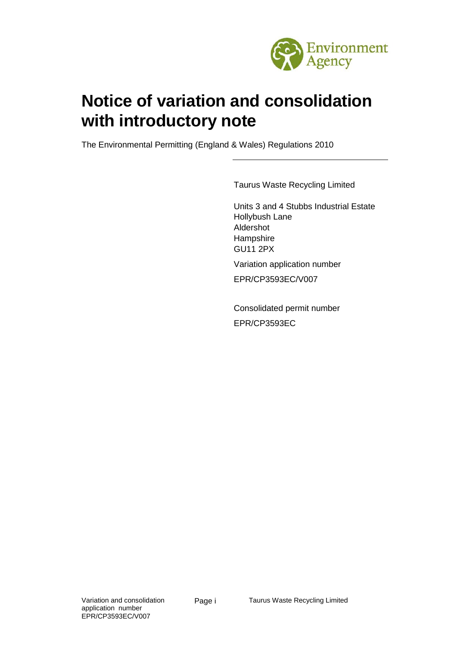

# **Notice of variation and consolidation with introductory note**

The Environmental Permitting (England & Wales) Regulations 2010

Taurus Waste Recycling Limited

Units 3 and 4 Stubbs Industrial Estate Hollybush Lane Aldershot Hampshire GU11 2PX

Variation application number EPR/CP3593EC/V007

Consolidated permit number EPR/CP3593EC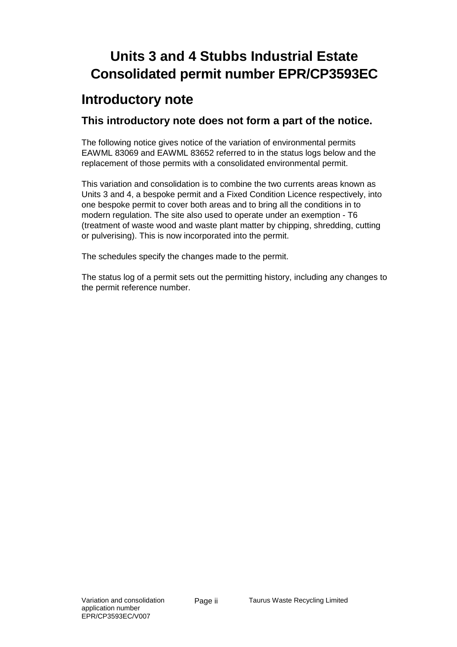## **Units 3 and 4 Stubbs Industrial Estate Consolidated permit number EPR/CP3593EC**

### **Introductory note**

#### **This introductory note does not form a part of the notice.**

The following notice gives notice of the variation of environmental permits EAWML 83069 and EAWML 83652 referred to in the status logs below and the replacement of those permits with a consolidated environmental permit.

This variation and consolidation is to combine the two currents areas known as Units 3 and 4, a bespoke permit and a Fixed Condition Licence respectively, into one bespoke permit to cover both areas and to bring all the conditions in to modern regulation. The site also used to operate under an exemption - T6 (treatment of waste wood and waste plant matter by chipping, shredding, cutting or pulverising). This is now incorporated into the permit.

The schedules specify the changes made to the permit.

The status log of a permit sets out the permitting history, including any changes to the permit reference number.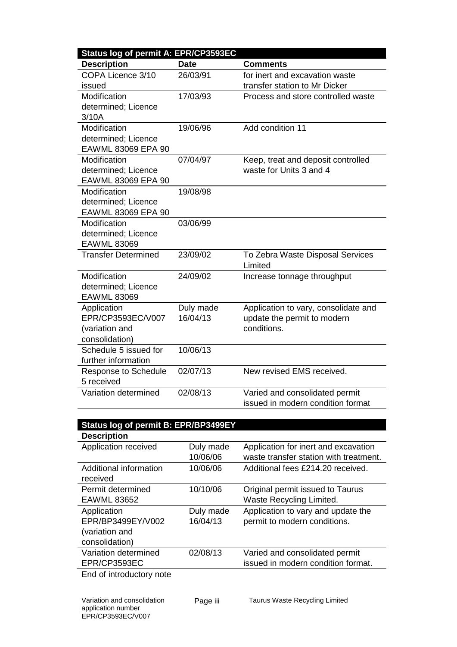| Status log of permit A: EPR/CP3593EC |             |                                      |  |  |
|--------------------------------------|-------------|--------------------------------------|--|--|
| <b>Description</b>                   | <b>Date</b> | <b>Comments</b>                      |  |  |
| COPA Licence 3/10                    | 26/03/91    | for inert and excavation waste       |  |  |
| issued                               |             | transfer station to Mr Dicker        |  |  |
| Modification                         | 17/03/93    | Process and store controlled waste   |  |  |
| determined; Licence                  |             |                                      |  |  |
| 3/10A                                |             |                                      |  |  |
| Modification                         | 19/06/96    | Add condition 11                     |  |  |
| determined; Licence                  |             |                                      |  |  |
| EAWML 83069 EPA 90                   |             |                                      |  |  |
| Modification                         | 07/04/97    | Keep, treat and deposit controlled   |  |  |
| determined; Licence                  |             | waste for Units 3 and 4              |  |  |
| EAWML 83069 EPA 90                   |             |                                      |  |  |
| Modification                         | 19/08/98    |                                      |  |  |
| determined; Licence                  |             |                                      |  |  |
| EAWML 83069 EPA 90                   |             |                                      |  |  |
| Modification                         | 03/06/99    |                                      |  |  |
| determined; Licence                  |             |                                      |  |  |
| <b>EAWML 83069</b>                   |             |                                      |  |  |
| <b>Transfer Determined</b>           | 23/09/02    | To Zebra Waste Disposal Services     |  |  |
|                                      |             | Limited                              |  |  |
| Modification                         | 24/09/02    | Increase tonnage throughput          |  |  |
| determined; Licence                  |             |                                      |  |  |
| <b>EAWML 83069</b>                   |             |                                      |  |  |
| Application                          | Duly made   | Application to vary, consolidate and |  |  |
| EPR/CP3593EC/V007                    | 16/04/13    | update the permit to modern          |  |  |
| (variation and                       |             | conditions.                          |  |  |
| consolidation)                       |             |                                      |  |  |
| Schedule 5 issued for                | 10/06/13    |                                      |  |  |
| further information                  |             |                                      |  |  |
| Response to Schedule                 | 02/07/13    | New revised EMS received.            |  |  |
| 5 received                           |             |                                      |  |  |
| Variation determined                 | 02/08/13    | Varied and consolidated permit       |  |  |
|                                      |             | issued in modern condition format    |  |  |

| Status log of permit B: EPR/BP3499EY |           |                                        |  |  |  |
|--------------------------------------|-----------|----------------------------------------|--|--|--|
| <b>Description</b>                   |           |                                        |  |  |  |
| Application received                 | Duly made | Application for inert and excavation   |  |  |  |
|                                      | 10/06/06  | waste transfer station with treatment. |  |  |  |
| Additional information               | 10/06/06  | Additional fees £214.20 received.      |  |  |  |
| received                             |           |                                        |  |  |  |
| Permit determined                    | 10/10/06  | Original permit issued to Taurus       |  |  |  |
| <b>EAWML 83652</b>                   |           | Waste Recycling Limited.               |  |  |  |
| Application                          | Duly made | Application to vary and update the     |  |  |  |
| EPR/BP3499EY/V002                    | 16/04/13  | permit to modern conditions.           |  |  |  |
| (variation and                       |           |                                        |  |  |  |
| consolidation)                       |           |                                        |  |  |  |
| Variation determined                 | 02/08/13  | Varied and consolidated permit         |  |  |  |
| EPR/CP3593EC                         |           | issued in modern condition format.     |  |  |  |
| End of intenductance ata             |           |                                        |  |  |  |

End of introductory note